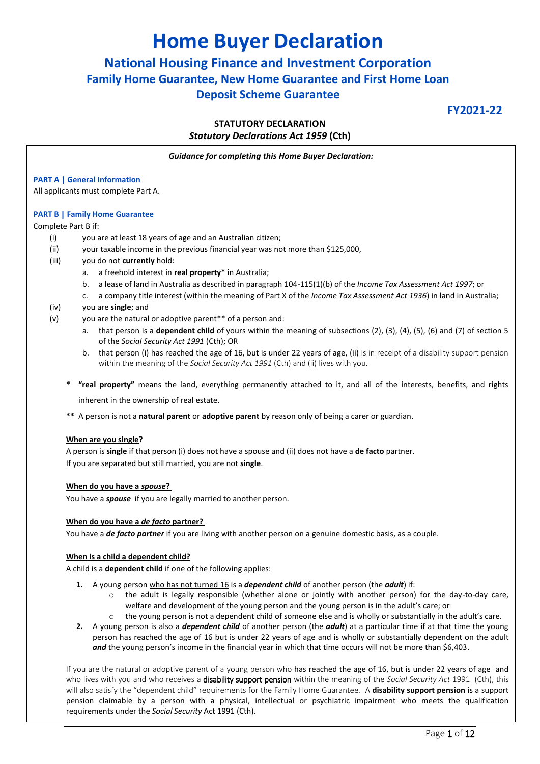# **Home Buyer Declaration**

# **National Housing Finance and Investment Corporation Family Home Guarantee, New Home Guarantee and First Home Loan Deposit Scheme Guarantee**

**FY2021-22**

## **STATUTORY DECLARATION** *Statutory Declarations Act 1959* **(Cth)**

*Guidance for completing this Home Buyer Declaration:*

### **PART A | General Information**

All applicants must complete Part A.

#### **PART B | Family Home Guarantee**

#### Complete Part B if:

- (i) you are at least 18 years of age and an Australian citizen;
- (ii) your taxable income in the previous financial year was not more than \$125,000,
- (iii) you do not **currently** hold:
	- a. a freehold interest in **real property\*** in Australia;
	- b. a lease of land in Australia as described in paragraph 104-115(1)(b) of the *Income Tax Assessment Act 1997*; or
	- c. a company title interest (within the meaning of Part X of the *Income Tax Assessment Act 1936*) in land in Australia;
- (iv) you are **single**; and
- (v) you are the natural or adoptive parent\*\* of a person and:
	- a. that person is a **dependent child** of yours within the meaning of subsections (2), (3), (4), (5), (6) and (7) of section 5 of the *Social Security Act 1991* (Cth); OR
	- b. that person (i) has reached the age of 16, but is under 22 years of age, (ii) is in receipt of a disability support pension within the meaning of the *Social Security Act 1991* (Cth) and (ii) lives with you.
	- **\* "real property"** means the land, everything permanently attached to it, and all of the interests, benefits, and rights

inherent in the ownership of real estate.

**\*\*** A person is not a **natural parent** or **adoptive parent** by reason only of being a carer or guardian.

#### **When are you single?**

A person is **single** if that person (i) does not have a spouse and (ii) does not have a **de facto** partner. If you are separated but still married, you are not **single**.

#### **When do you have a** *spouse***?**

You have a *spouse* if you are legally married to another person.

#### **When do you have a** *de facto* **partner?**

You have a *de facto partner* if you are living with another person on a genuine domestic basis, as a couple.

#### **When is a child a dependent child?**

A child is a **dependent child** if one of the following applies:

- **1.** A young person who has not turned 16 is a *dependent child* of another person (the *adult*) if:
	- the adult is legally responsible (whether alone or jointly with another person) for the day-to-day care, welfare and development of the young person and the young person is in the adult's care; or
	- $\circ$  the young person is not a dependent child of someone else and is wholly or substantially in the adult's care.
- **2.** A young person is also a *dependent child* of another person (the *adult*) at a particular time if at that time the young person has reached the age of 16 but is under 22 years of age and is wholly or substantially dependent on the adult and the young person's income in the financial year in which that time occurs will not be more than \$6,403.

If you are the natural or adoptive parent of a young person who has reached the age of 16, but is under 22 years of age and who lives with you and who receives a disability support pension within the meaning of the *Social Security Act* 1991 (Cth), this will also satisfy the "dependent child" requirements for the Family Home Guarantee. A **disability support pension** is a support pension claimable by a person with a physical, intellectual or psychiatric impairment who meets the qualification requirements under the *Social Security* Act 1991 (Cth).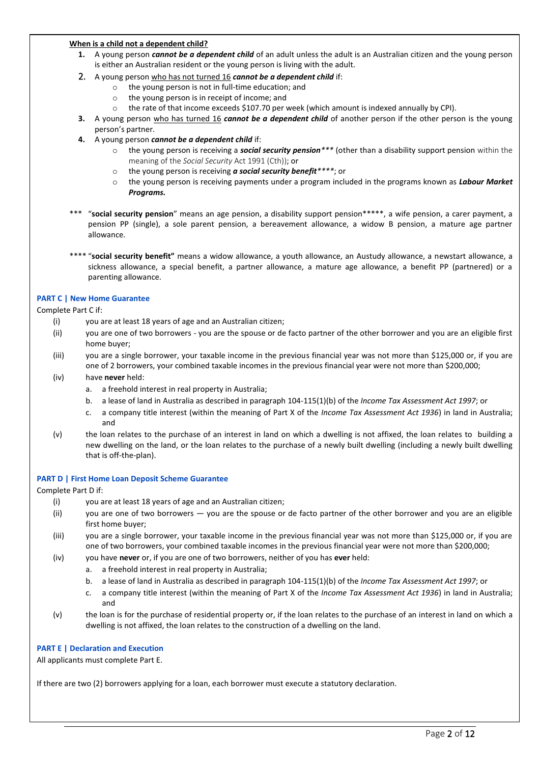#### **When is a child not a dependent child?**

- **1.** A young person *cannot be a dependent child* of an adult unless the adult is an Australian citizen and the young person is either an Australian resident or the young person is living with the adult.
- 2. A young person who has not turned 16 *cannot be a dependent child* if:
	- o the young person is not in full-time education; and
	- o the young person is in receipt of income; and
	- o the rate of that income exceeds \$107.70 per week (which amount is indexed annually by CPI).
- **3.** A young person who has turned 16 *cannot be a dependent child* of another person if the other person is the young person's partner.
- **4.** A young person *cannot be a dependent child* if:
	- o the young person is receiving a *social security pension\*\*\** (other than a disability support pension within the meaning of the *Social Security* Act 1991 (Cth)); or
	- o the young person is receiving *a social security benefit\*\*\*\**; or
	- o the young person is receiving payments under a program included in the programs known as *Labour Market Programs.*
- \*\*\* "social security pension" means an age pension, a disability support pension\*\*\*\*\*, a wife pension, a carer payment, a pension PP (single), a sole parent pension, a bereavement allowance, a widow B pension, a mature age partner allowance.
- \*\*\*\* "**social security benefit"** means a widow allowance, a youth allowance, an Austudy allowance, a newstart allowance, a sickness allowance, a special benefit, a partner allowance, a mature age allowance, a benefit PP (partnered) or a parenting allowance.

### **PART C | New Home Guarantee**

Complete Part C if:

- (i) you are at least 18 years of age and an Australian citizen;
- (ii) you are one of two borrowers you are the spouse or de facto partner of the other borrower and you are an eligible first home buyer;
- (iii) you are a single borrower, your taxable income in the previous financial year was not more than \$125,000 or, if you are one of 2 borrowers, your combined taxable incomes in the previous financial year were not more than \$200,000;
- (iv) have **never** held:
	- a. a freehold interest in real property in Australia;
	- b. a lease of land in Australia as described in paragraph 104-115(1)(b) of the *Income Tax Assessment Act 1997*; or
	- c. a company title interest (within the meaning of Part X of the *Income Tax Assessment Act 1936*) in land in Australia; and
- (v) the loan relates to the purchase of an interest in land on which a dwelling is not affixed, the loan relates to building a new dwelling on the land, or the loan relates to the purchase of a newly built dwelling (including a newly built dwelling that is off-the-plan).

### **PART D | First Home Loan Deposit Scheme Guarantee**

### Complete Part D if:

- (i) you are at least 18 years of age and an Australian citizen;
- (ii) you are one of two borrowers you are the spouse or de facto partner of the other borrower and you are an eligible first home buyer;
- (iii) you are a single borrower, your taxable income in the previous financial year was not more than \$125,000 or, if you are one of two borrowers, your combined taxable incomes in the previous financial year were not more than \$200,000;
- (iv) you have **never** or, if you are one of two borrowers, neither of you has **ever** held:
	- a. a freehold interest in real property in Australia;
	- b. a lease of land in Australia as described in paragraph 104-115(1)(b) of the *Income Tax Assessment Act 1997*; or
	- c. a company title interest (within the meaning of Part X of the *Income Tax Assessment Act 1936*) in land in Australia; and
- (v) the loan is for the purchase of residential property or, if the loan relates to the purchase of an interest in land on which a dwelling is not affixed, the loan relates to the construction of a dwelling on the land.

### **PART E | Declaration and Execution**

All applicants must complete Part E.

If there are two (2) borrowers applying for a loan, each borrower must execute a statutory declaration.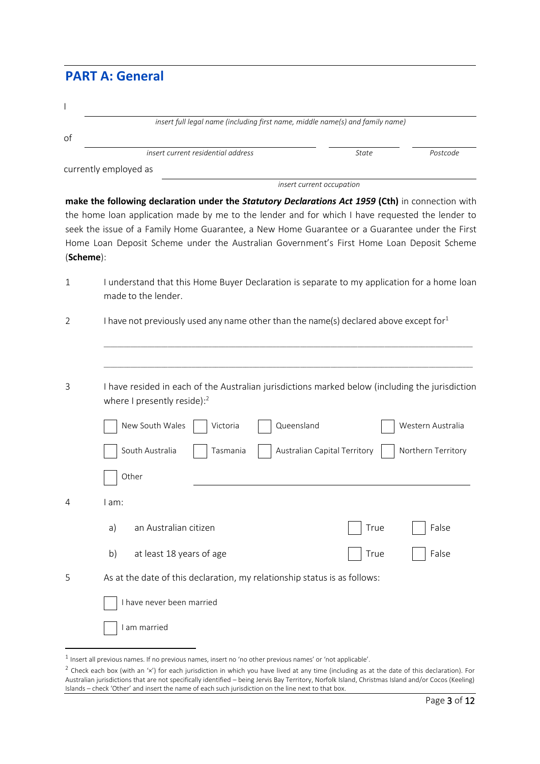# **PART A: General**

| I           |                                                                                                                                                                                                                                                                                                                                                                                                     |                              |                                         |
|-------------|-----------------------------------------------------------------------------------------------------------------------------------------------------------------------------------------------------------------------------------------------------------------------------------------------------------------------------------------------------------------------------------------------------|------------------------------|-----------------------------------------|
| οf          | insert full legal name (including first name, middle name(s) and family name)                                                                                                                                                                                                                                                                                                                       |                              |                                         |
|             | insert current residential address                                                                                                                                                                                                                                                                                                                                                                  | <b>State</b>                 | Postcode                                |
|             | currently employed as                                                                                                                                                                                                                                                                                                                                                                               |                              |                                         |
|             |                                                                                                                                                                                                                                                                                                                                                                                                     | insert current occupation    |                                         |
| (Scheme):   | make the following declaration under the Statutory Declarations Act 1959 (Cth) in connection with<br>the home loan application made by me to the lender and for which I have requested the lender to<br>seek the issue of a Family Home Guarantee, a New Home Guarantee or a Guarantee under the First<br>Home Loan Deposit Scheme under the Australian Government's First Home Loan Deposit Scheme |                              |                                         |
| $\mathbf 1$ | I understand that this Home Buyer Declaration is separate to my application for a home loan<br>made to the lender.                                                                                                                                                                                                                                                                                  |                              |                                         |
| 2           | I have not previously used any name other than the name(s) declared above except for $1$                                                                                                                                                                                                                                                                                                            |                              |                                         |
| 3           | I have resided in each of the Australian jurisdictions marked below (including the jurisdiction<br>where I presently reside): $2$<br>Queensland<br>New South Wales<br>Victoria<br>South Australia<br>Tasmania<br>Other                                                                                                                                                                              | Australian Capital Territory | Western Australia<br>Northern Territory |
| 4           | I am:                                                                                                                                                                                                                                                                                                                                                                                               |                              |                                         |
|             | an Australian citizen<br>a)                                                                                                                                                                                                                                                                                                                                                                         | True                         | False                                   |
|             | at least 18 years of age<br>b)                                                                                                                                                                                                                                                                                                                                                                      | True                         | False                                   |
| 5           | As at the date of this declaration, my relationship status is as follows:                                                                                                                                                                                                                                                                                                                           |                              |                                         |
|             | I have never been married                                                                                                                                                                                                                                                                                                                                                                           |                              |                                         |
|             | I am married                                                                                                                                                                                                                                                                                                                                                                                        |                              |                                         |

 $\overline{a}$ 

 $^1$  Insert all previous names. If no previous names, insert no 'no other previous names' or 'not applicable'.

 $^2$  Check each box (with an '×') for each jurisdiction in which you have lived at any time (including as at the date of this declaration). For Australian jurisdictions that are not specifically identified – being Jervis Bay Territory, Norfolk Island, Christmas Island and/or Cocos (Keeling) Islands – check 'Other' and insert the name of each such jurisdiction on the line next to that box.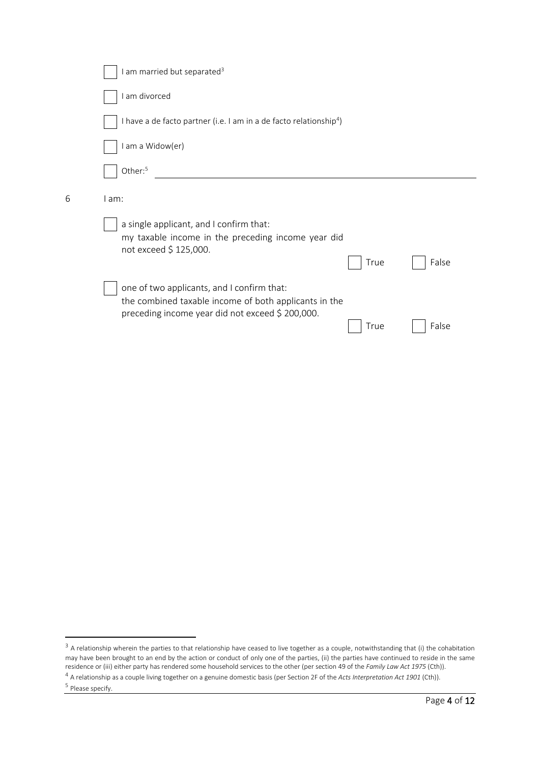|   | am married but separated <sup>3</sup>                                                                                                                                    |
|---|--------------------------------------------------------------------------------------------------------------------------------------------------------------------------|
|   | am divorced                                                                                                                                                              |
|   | I have a de facto partner (i.e. I am in a de facto relationship <sup>4</sup> )                                                                                           |
|   | am a Widow(er)                                                                                                                                                           |
|   | Other: <sup>5</sup>                                                                                                                                                      |
| 6 | l am:                                                                                                                                                                    |
|   | a single applicant, and I confirm that:<br>my taxable income in the preceding income year did<br>not exceed \$ 125,000.<br>False<br>True                                 |
|   | one of two applicants, and I confirm that:<br>the combined taxable income of both applicants in the<br>preceding income year did not exceed \$ 200,000.<br>False<br>True |
|   |                                                                                                                                                                          |

 $\overline{a}$ 

 $3$  A relationship wherein the parties to that relationship have ceased to live together as a couple, notwithstanding that (i) the cohabitation may have been brought to an end by the action or conduct of only one of the parties, (ii) the parties have continued to reside in the same residence or (iii) either party has rendered some household services to the other (per section 49 of the *Family Law Act 1975* (Cth)).

<sup>4</sup> A relationship as a couple living together on a genuine domestic basis(per Section 2F of the *Acts Interpretation Act 1901* (Cth)).

<sup>&</sup>lt;sup>5</sup> Please specify.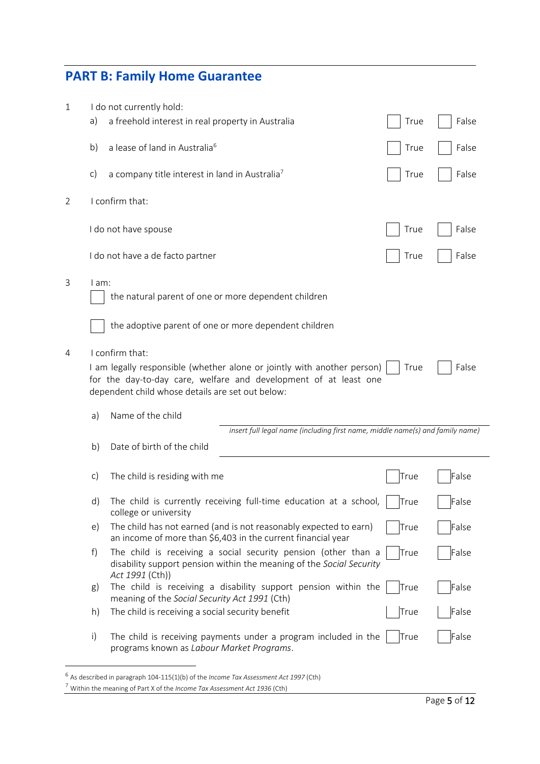# **PART B: Family Home Guarantee**

| 1 |               | I do not currently hold:                                                                                                                                                                                           |             |       |
|---|---------------|--------------------------------------------------------------------------------------------------------------------------------------------------------------------------------------------------------------------|-------------|-------|
|   | a)            | a freehold interest in real property in Australia                                                                                                                                                                  | True        | False |
|   | b)            | a lease of land in Australia <sup>6</sup>                                                                                                                                                                          | True        | False |
|   | c)            | a company title interest in land in Australia <sup>7</sup>                                                                                                                                                         | True        | False |
| 2 |               | I confirm that:                                                                                                                                                                                                    |             |       |
|   |               | I do not have spouse                                                                                                                                                                                               | True        | False |
|   |               | I do not have a de facto partner                                                                                                                                                                                   | True        | False |
| 3 | $l$ am:       | the natural parent of one or more dependent children                                                                                                                                                               |             |       |
|   |               | the adoptive parent of one or more dependent children                                                                                                                                                              |             |       |
| 4 |               | I confirm that:<br>I am legally responsible (whether alone or jointly with another person)<br>for the day-to-day care, welfare and development of at least one<br>dependent child whose details are set out below: | True        | False |
|   | a)            | Name of the child                                                                                                                                                                                                  |             |       |
|   |               | insert full legal name (including first name, middle name(s) and family name)                                                                                                                                      |             |       |
|   | b)            | Date of birth of the child                                                                                                                                                                                         |             |       |
|   | $\mathsf{c})$ | The child is residing with me                                                                                                                                                                                      | True        | False |
|   | d)            | The child is currently receiving full-time education at a school,<br>college or university                                                                                                                         | <u>Hrue</u> | False |
|   | $\epsilon$ )  | The child has not earned (and is not reasonably expected to earn)<br>an income of more than \$6,403 in the current financial year                                                                                  | True        | False |
|   | f)            | The child is receiving a social security pension (other than a<br>disability support pension within the meaning of the Social Security<br>Act 1991 (Cth))                                                          | True        | False |
|   | g)            | The child is receiving a disability support pension within the<br>meaning of the Social Security Act 1991 (Cth)                                                                                                    | True        | False |
|   | h)            | The child is receiving a social security benefit                                                                                                                                                                   | True        | False |
|   | $\mathsf{i}$  | The child is receiving payments under a program included in the<br>programs known as Labour Market Programs.                                                                                                       | True        | False |

 6 As described in paragraph 104-115(1)(b) of the *Income Tax Assessment Act 1997* (Cth)

<sup>7</sup> Within the meaning of Part X of the *Income Tax Assessment Act 1936* (Cth)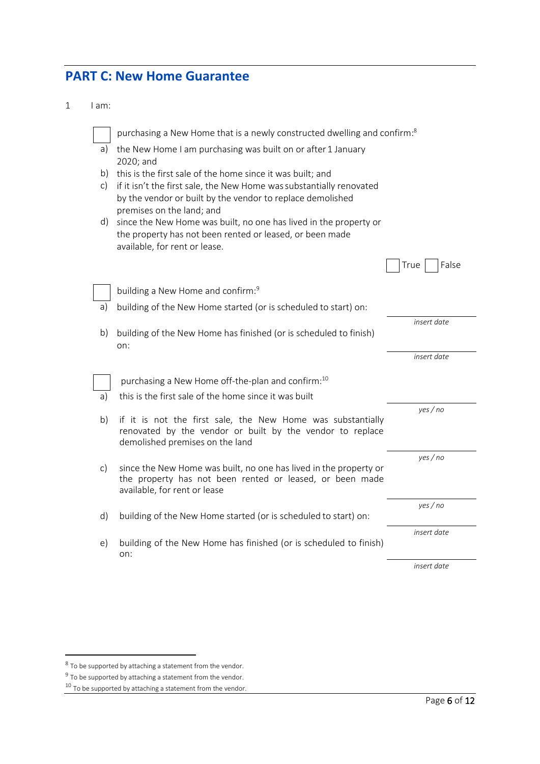# **PART C: New Home Guarantee**

1 I am:

|          | purchasing a New Home that is a newly constructed dwelling and confirm: <sup>8</sup>                                               |               |
|----------|------------------------------------------------------------------------------------------------------------------------------------|---------------|
| a)       | the New Home I am purchasing was built on or after 1 January                                                                       |               |
|          | 2020; and                                                                                                                          |               |
| b)<br>c) | this is the first sale of the home since it was built; and                                                                         |               |
|          | if it isn't the first sale, the New Home was substantially renovated<br>by the vendor or built by the vendor to replace demolished |               |
|          | premises on the land; and                                                                                                          |               |
| d)       | since the New Home was built, no one has lived in the property or                                                                  |               |
|          | the property has not been rented or leased, or been made                                                                           |               |
|          | available, for rent or lease.                                                                                                      |               |
|          |                                                                                                                                    | False<br>True |
|          | building a New Home and confirm: <sup>9</sup>                                                                                      |               |
| a)       | building of the New Home started (or is scheduled to start) on:                                                                    |               |
|          |                                                                                                                                    | insert date   |
| b)       | building of the New Home has finished (or is scheduled to finish)                                                                  |               |
|          | on:                                                                                                                                |               |
|          |                                                                                                                                    | insert date   |
|          | purchasing a New Home off-the-plan and confirm: <sup>10</sup>                                                                      |               |
| a)       | this is the first sale of the home since it was built                                                                              |               |
|          |                                                                                                                                    | yes/no        |
| b)       | if it is not the first sale, the New Home was substantially<br>renovated by the vendor or built by the vendor to replace           |               |
|          | demolished premises on the land                                                                                                    |               |
|          |                                                                                                                                    | yes/no        |
| c)       | since the New Home was built, no one has lived in the property or                                                                  |               |
|          | the property has not been rented or leased, or been made<br>available, for rent or lease                                           |               |
|          |                                                                                                                                    | yes / no      |
| d)       | building of the New Home started (or is scheduled to start) on:                                                                    |               |
|          |                                                                                                                                    | insert date   |
| e)       | building of the New Home has finished (or is scheduled to finish)<br>on:                                                           |               |
|          |                                                                                                                                    | insert date   |

 $^8$  To be supported by attaching a statement from the vendor.

 $9$  To be supported by attaching a statement from the vendor.

<sup>&</sup>lt;sup>10</sup> To be supported by attaching a statement from the vendor.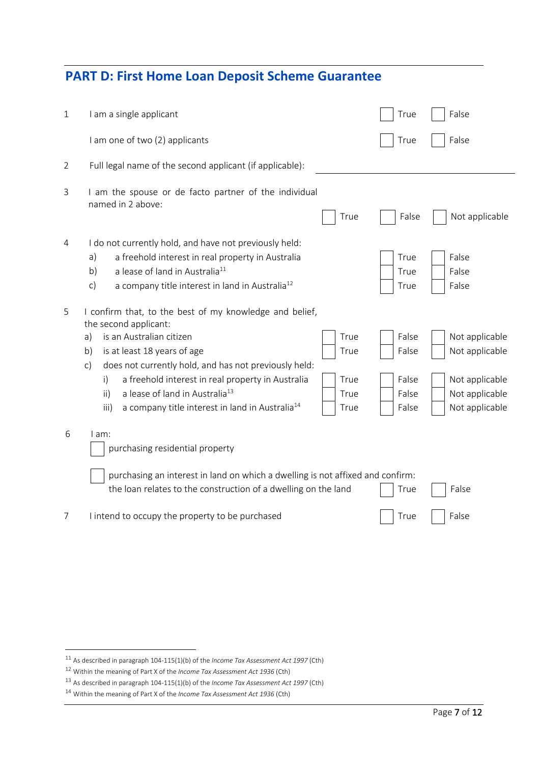# **PART D: First Home Loan Deposit Scheme Guarantee**

| $\mathbf{1}$ | I am a single applicant                                                                                                                                                                                                                                                                                                                                                                                                                                                             | True                                      | False                                                                                  |
|--------------|-------------------------------------------------------------------------------------------------------------------------------------------------------------------------------------------------------------------------------------------------------------------------------------------------------------------------------------------------------------------------------------------------------------------------------------------------------------------------------------|-------------------------------------------|----------------------------------------------------------------------------------------|
|              | I am one of two (2) applicants                                                                                                                                                                                                                                                                                                                                                                                                                                                      | True                                      | False                                                                                  |
| 2            | Full legal name of the second applicant (if applicable):                                                                                                                                                                                                                                                                                                                                                                                                                            |                                           |                                                                                        |
| 3            | I am the spouse or de facto partner of the individual<br>named in 2 above:<br>True                                                                                                                                                                                                                                                                                                                                                                                                  | False                                     | Not applicable                                                                         |
| 4            | I do not currently hold, and have not previously held:<br>a)<br>a freehold interest in real property in Australia<br>b)<br>a lease of land in Australia <sup>11</sup><br>a company title interest in land in Australia <sup>12</sup><br>$\mathsf{c})$                                                                                                                                                                                                                               | True<br>True<br>True                      | False<br>False<br>False                                                                |
| 5            | I confirm that, to the best of my knowledge and belief,<br>the second applicant:<br>is an Australian citizen<br>True<br>a)<br>is at least 18 years of age<br>b)<br>True<br>does not currently hold, and has not previously held:<br>$\mathsf{C}$<br>a freehold interest in real property in Australia<br>True<br>$\mathsf{i}$<br>a lease of land in Australia <sup>13</sup><br>$\mathsf{ii}$<br>True<br>a company title interest in land in Australia <sup>14</sup><br>iii)<br>True | False<br>False<br>False<br>False<br>False | Not applicable<br>Not applicable<br>Not applicable<br>Not applicable<br>Not applicable |
| 6            | I am:<br>purchasing residential property<br>purchasing an interest in land on which a dwelling is not affixed and confirm:<br>the loan relates to the construction of a dwelling on the land                                                                                                                                                                                                                                                                                        | True                                      | False                                                                                  |
| 7            | I intend to occupy the property to be purchased                                                                                                                                                                                                                                                                                                                                                                                                                                     | True                                      | False                                                                                  |

 $\overline{\phantom{a}}$ 

<sup>11</sup> As described in paragraph 104-115(1)(b) of the *Income Tax Assessment Act 1997* (Cth)

<sup>12</sup> Within the meaning of Part X of the *Income Tax Assessment Act 1936* (Cth)

<sup>13</sup> As described in paragraph 104-115(1)(b) of the *Income Tax Assessment Act 1997* (Cth)

<sup>14</sup> Within the meaning of Part X of the *Income Tax Assessment Act 1936* (Cth)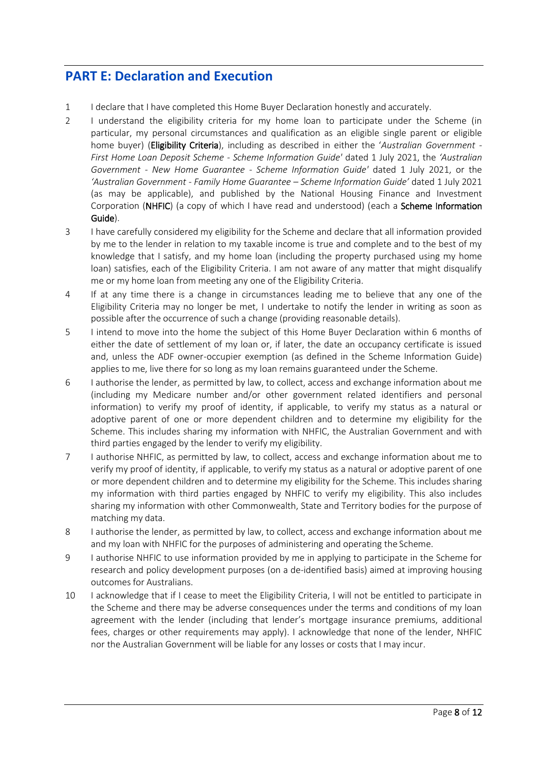# **PART E: Declaration and Execution**

- 1 I declare that I have completed this Home Buyer Declaration honestly and accurately.
- 2 I understand the eligibility criteria for my home loan to participate under the Scheme (in particular, my personal circumstances and qualification as an eligible single parent or eligible home buyer) (Eligibility Criteria), including as described in either the '*Australian Government - First Home Loan Deposit Scheme - Scheme Information Guide'* dated 1 July 2021, the *'Australian Government - New Home Guarantee - Scheme Information Guide'* dated 1 July 2021, or the *'Australian Government - Family Home Guarantee – Scheme Information Guide'* dated 1 July 2021 (as may be applicable), and published by the National Housing Finance and Investment Corporation (NHFIC) (a copy of which I have read and understood) (each a Scheme Information Guide).
- 3 I have carefully considered my eligibility for the Scheme and declare that all information provided by me to the lender in relation to my taxable income is true and complete and to the best of my knowledge that I satisfy, and my home loan (including the property purchased using my home loan) satisfies, each of the Eligibility Criteria. I am not aware of any matter that might disqualify me or my home loan from meeting any one of the Eligibility Criteria.
- 4 If at any time there is a change in circumstances leading me to believe that any one of the Eligibility Criteria may no longer be met, I undertake to notify the lender in writing as soon as possible after the occurrence of such a change (providing reasonable details).
- 5 I intend to move into the home the subject of this Home Buyer Declaration within 6 months of either the date of settlement of my loan or, if later, the date an occupancy certificate is issued and, unless the ADF owner-occupier exemption (as defined in the Scheme Information Guide) applies to me, live there for so long as my loan remains guaranteed under the Scheme.
- 6 I authorise the lender, as permitted by law, to collect, access and exchange information about me (including my Medicare number and/or other government related identifiers and personal information) to verify my proof of identity, if applicable, to verify my status as a natural or adoptive parent of one or more dependent children and to determine my eligibility for the Scheme. This includes sharing my information with NHFIC, the Australian Government and with third parties engaged by the lender to verify my eligibility.
- 7 I authorise NHFIC, as permitted by law, to collect, access and exchange information about me to verify my proof of identity, if applicable, to verify my status as a natural or adoptive parent of one or more dependent children and to determine my eligibility for the Scheme. This includes sharing my information with third parties engaged by NHFIC to verify my eligibility. This also includes sharing my information with other Commonwealth, State and Territory bodies for the purpose of matching my data.
- 8 I authorise the lender, as permitted by law, to collect, access and exchange information about me and my loan with NHFIC for the purposes of administering and operating the Scheme.
- 9 I authorise NHFIC to use information provided by me in applying to participate in the Scheme for research and policy development purposes (on a de-identified basis) aimed at improving housing outcomes for Australians.
- 10 I acknowledge that if I cease to meet the Eligibility Criteria, I will not be entitled to participate in the Scheme and there may be adverse consequences under the terms and conditions of my loan agreement with the lender (including that lender's mortgage insurance premiums, additional fees, charges or other requirements may apply). I acknowledge that none of the lender, NHFIC nor the Australian Government will be liable for any losses or costs that I may incur.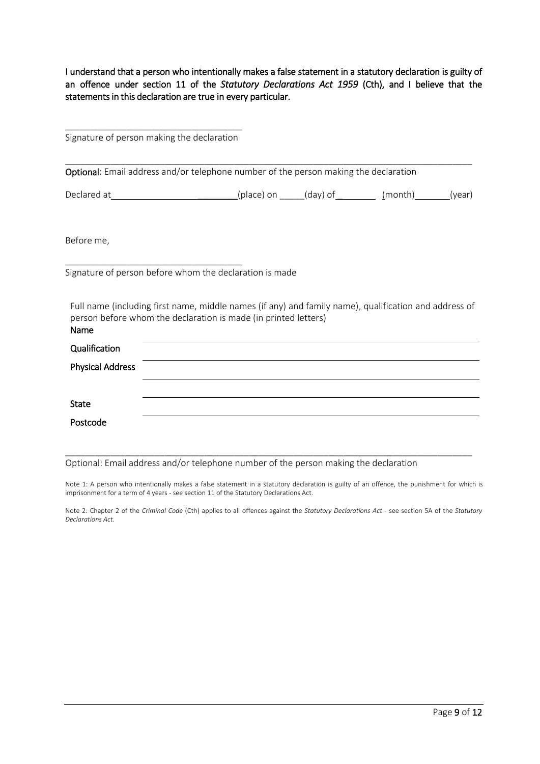I understand that a person who intentionally makes a false statement in a statutory declaration is guilty of an offence under section 11 of the *Statutory Declarations Act 1959* (Cth), and I believe that the statements in this declaration are true in every particular.

\_\_\_\_\_\_\_\_\_\_\_\_\_\_\_\_\_\_\_\_\_\_\_\_\_\_\_\_\_\_\_\_\_\_\_\_\_\_\_\_\_\_\_\_\_\_\_\_\_ Signature of person making the declaration

\_\_\_\_\_\_\_\_\_\_\_\_\_\_\_\_\_\_\_\_\_\_\_\_\_\_\_\_\_\_\_\_\_\_\_\_\_\_\_\_\_\_\_\_\_\_\_\_\_\_\_\_\_\_\_\_\_\_\_\_\_\_\_\_\_\_\_\_\_\_\_\_\_\_\_\_\_\_\_\_\_\_ Optional: Email address and/or telephone number of the person making the declaration

Declared at  $(place) on$   $(day) of$   $(month)$  (year)

Before me,

\_\_\_\_\_\_\_\_\_\_\_\_\_\_\_\_\_\_\_\_\_\_\_\_\_\_\_\_\_\_\_\_\_\_\_\_\_\_\_\_\_\_\_\_\_\_\_\_\_ Signature of person before whom the declaration is made

Full name (including first name, middle names (if any) and family name), qualification and address of person before whom the declaration is made (in printed letters) Name

| <b>N</b> dille          |  |
|-------------------------|--|
| Qualification           |  |
| <b>Physical Address</b> |  |
|                         |  |
| <b>State</b>            |  |
| Postcode                |  |

\_\_\_\_\_\_\_\_\_\_\_\_\_\_\_\_\_\_\_\_\_\_\_\_\_\_\_\_\_\_\_\_\_\_\_\_\_\_\_\_\_\_\_\_\_\_\_\_\_\_\_\_\_\_\_\_\_\_\_\_\_\_\_\_\_\_\_\_\_\_\_\_\_\_\_\_\_\_\_\_\_\_ Optional: Email address and/or telephone number of the person making the declaration

Note 1: A person who intentionally makes a false statement in a statutory declaration is guilty of an offence, the punishment for which is imprisonment for a term of 4 years - see section 11 of the Statutory Declarations Act.

Note 2: Chapter 2 of the *Criminal Code* (Cth) applies to all offences against the *Statutory Declarations Act* - see section 5A of the *Statutory Declarations Act*.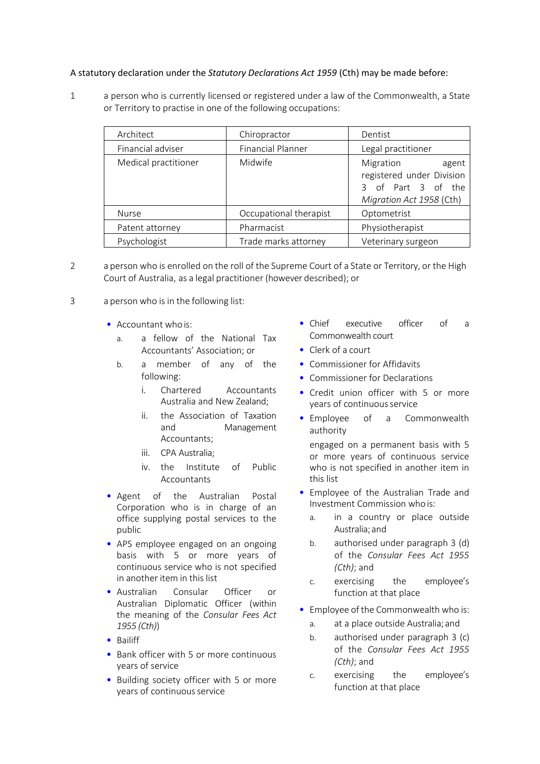## A statutory declaration under the *Statutory Declarations Act 1959* (Cth) may be made before:

1 a person who is currently licensed or registered under a law of the Commonwealth, a State or Territory to practise in one of the following occupations:

| Architect            | Chiropractor             | Dentist                                                                                           |
|----------------------|--------------------------|---------------------------------------------------------------------------------------------------|
| Financial adviser    | <b>Financial Planner</b> | Legal practitioner                                                                                |
| Medical practitioner | Midwife                  | Migration<br>agent<br>registered under Division<br>3 of Part 3 of the<br>Migration Act 1958 (Cth) |
| <b>Nurse</b>         | Occupational therapist   | Optometrist                                                                                       |
| Patent attorney      | Pharmacist               | Physiotherapist                                                                                   |
| Psychologist         | Trade marks attorney     | Veterinary surgeon                                                                                |

- 2 a person who is enrolled on the roll of the Supreme Court of a State or Territory, or the High Court of Australia, as a legal practitioner (however described); or
- 3 a person who is in the following list:
	- Accountant who is:
		- a. a fellow of the National Tax Accountants' Association; or
		- b. a member of any of the following:
			- i. Chartered Accountants Australia and New Zealand;
			- ii. the Association of Taxation and Management Accountants;
			- iii. CPA Australia;
			- iv. the Institute of Public Accountants
	- Agent of the Australian Postal Corporation who is in charge of an office supplying postal services to the public
	- APS employee engaged on an ongoing basis with 5 or more years of continuous service who is not specified in another item in this list
	- Australian Consular Officer or Australian Diplomatic Officer (within the meaning of the *Consular Fees Act 1955 (Cth)*)
	- Bailiff
	- Bank officer with 5 or more continuous years of service
	- Building society officer with 5 or more years of continuous service
- Chief executive officer of a Commonwealth court
- Clerk of a court
- Commissioner for Affidavits
- Commissioner for Declarations
- Credit union officer with 5 or more years of continuous service
- Employee of a Commonwealth authority

engaged on a permanent basis with 5 or more years of continuous service who is not specified in another item in this list

- Employee of the Australian Trade and Investment Commission who is:
	- a. in a country or place outside Australia;and
	- b. authorised under paragraph 3 (d) of the *Consular Fees Act 1955 (Cth)*; and
	- c. exercising the employee's function at that place
- Employee of the Commonwealth who is:
	- a. at a place outside Australia;and
	- b. authorised under paragraph 3 (c) of the *Consular Fees Act 1955 (Cth)*; and
	- c. exercising the employee's function at that place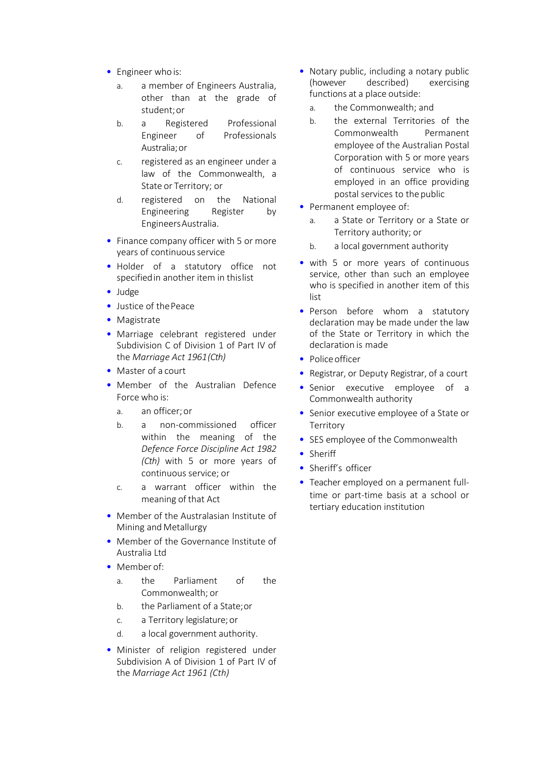- Engineer who is:
	- a. a member of Engineers Australia, other than at the grade of student;or
	- b. a Registered Professional Engineer of Professionals Australia;or
	- c. registered as an engineer under a law of the Commonwealth, a State or Territory; or
	- d. registered on the National Engineering Register by EngineersAustralia.
- Finance company officer with 5 or more years of continuous service
- Holder of a statutory office not specifiedin another item in thislist
- Judge
- Justice of the Peace
- Magistrate
- Marriage celebrant registered under Subdivision C of Division 1 of Part IV of the *Marriage Act 1961(Cth)*
- Master of a court
- Member of the Australian Defence Force who is:
	- a. an officer;or
	- b. a non-commissioned officer within the meaning of the *Defence Force Discipline Act 1982 (Cth)* with 5 or more years of continuous service; or
	- c. a warrant officer within the meaning of that Act
- Member of the Australasian Institute of Mining and Metallurgy
- Member of the Governance Institute of Australia Ltd
- Member of:
	- a. the Parliament of the Commonwealth; or
	- b. the Parliament of a State;or
	- c. a Territory legislature; or
	- d. a local government authority.
- Minister of religion registered under Subdivision A of Division 1 of Part IV of the *Marriage Act 1961 (Cth)*
- Notary public, including a notary public<br>(however described) exercising described) exercising functions at a place outside:
	- a. the Commonwealth; and
	- b. the external Territories of the Commonwealth Permanent employee of the Australian Postal Corporation with 5 or more years of continuous service who is employed in an office providing postal services to the public
- Permanent employee of:
	- a. a State or Territory or a State or Territory authority; or
	- b. a local government authority
- with 5 or more years of continuous service, other than such an employee who is specified in another item of this list
- Person before whom a statutory declaration may be made under the law of the State or Territory in which the declaration is made
- Police officer
- Registrar, or Deputy Registrar, of a court
- Senior executive employee of a Commonwealth authority
- Senior executive employee of a State or **Territory**
- SES employee of the Commonwealth
- Sheriff
- Sheriff's officer
- Teacher employed on a permanent fulltime or part-time basis at a school or tertiary education institution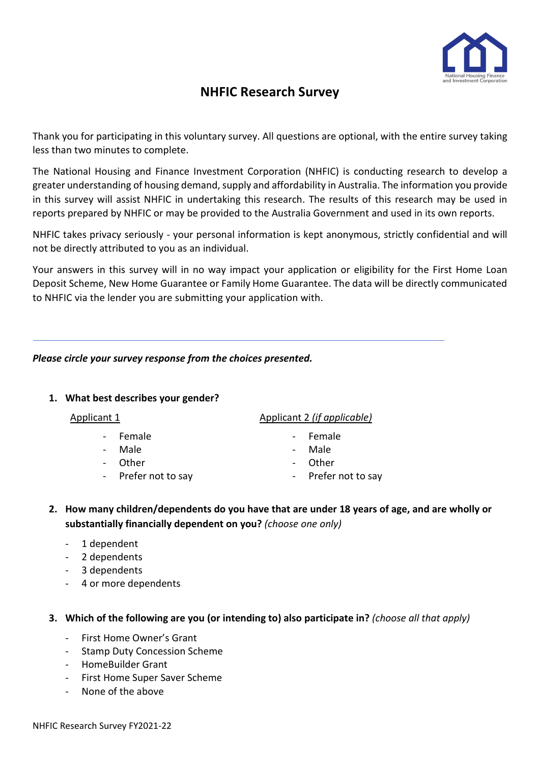

# **NHFIC Research Survey**

Thank you for participating in this voluntary survey. All questions are optional, with the entire survey taking less than two minutes to complete.

The National Housing and Finance Investment Corporation (NHFIC) is conducting research to develop a greater understanding of housing demand, supply and affordability in Australia. The information you provide in this survey will assist NHFIC in undertaking this research. The results of this research may be used in reports prepared by NHFIC or may be provided to the Australia Government and used in its own reports.

NHFIC takes privacy seriously - your personal information is kept anonymous, strictly confidential and will not be directly attributed to you as an individual.

Your answers in this survey will in no way impact your application or eligibility for the First Home Loan Deposit Scheme, New Home Guarantee or Family Home Guarantee. The data will be directly communicated to NHFIC via the lender you are submitting your application with.

# *Please circle your survey response from the choices presented.*

## **1. What best describes your gender?**

- Female **Female** Female
- Male  **Male** Male
- Other Other Other
- Prefer not to say contained the Prefer not to say
- Applicant 1 Applicant 2 *(if applicable)*
	-
	-
	-
	-
- **2. How many children/dependents do you have that are under 18 years of age, and are wholly or substantially financially dependent on you?** *(choose one only)*
	- 1 dependent
	- 2 dependents
	- 3 dependents
	- 4 or more dependents

## **3. Which of the following are you (or intending to) also participate in?** *(choose all that apply)*

- First Home Owner's Grant
- Stamp Duty Concession Scheme
- HomeBuilder Grant
- First Home Super Saver Scheme
- None of the above